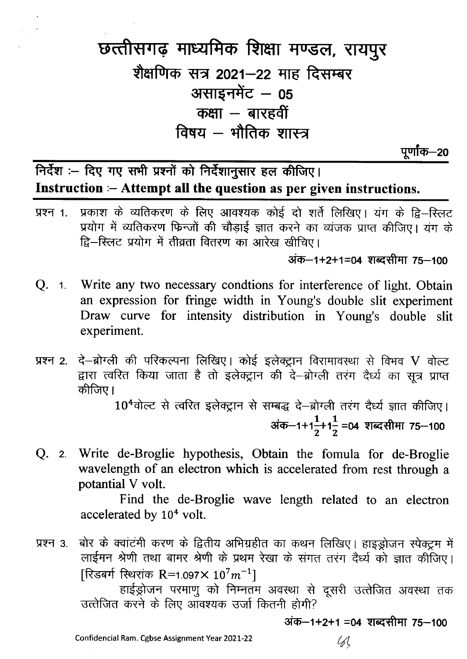## छत्तीसगढ़ माध्यमिक शिक्षा मण्डल, रायपुर शैक्षणिक सत्र 2021–22 माह दिसम्बर असाइनमेंट - 05 कक्षा  $-$  बारहवीं विषय – भौतिक शास्त्र

पूर्णांक—20

निर्देश :- दिए गए सभी प्रश्नों को निर्देशानुसार हल कीजिए। Instruction :- Attempt all the question as per given instructions.

प्रकाश के व्यतिकरण के लिए आवश्यक कोई दो शर्ते लिखिए। यंग के द्वि-स्लिट प्रश्न 1. प्रयोग में व्यतिकरण फिन्जों की चौड़ाई ज्ञात करने का व्यंजक प्राप्त कीजिए। यंग के द्वि-स्लिट प्रयोग में तीव्रता वितरण का आरेख खीचिए।

अंक–1+2+1=04 शब्दसीमा 75–100

- Q. 1. Write any two necessary condtions for interference of light. Obtain an expression for fringe width in Young's double slit experiment Draw curve for intensity distribution in Young's double slit experiment.
- दे-ब्रोग्ली की परिकल्पना लिखिए। कोई इलेक्ट्रान विरामावस्था से विभव V वोल्ट प्रश्न 2. द्वारा त्वरित किया जाता है तो इलेक्ट्रान की दे-ब्रोग्ली तरंग दैर्ध्य का सूत्र प्राप्त कीजिए।

10<sup>4</sup>वोल्ट से त्वरित इलेक्ट्रान से सम्बद्ध दे-ब्रोग्ली तरंग दैर्ध्य ज्ञात कीजिए। अंक-1+1<sup>1</sup><sub>2</sub>+1<sup>1</sup>/<sub>2</sub> =04 शब्दसीमा 75-100

Q. 2. Write de-Broglie hypothesis, Obtain the fomula for de-Broglie wavelength of an electron which is accelerated from rest through a potantial V volt.

> Find the de-Broglie wave length related to an electron accelerated by 10<sup>4</sup> volt.

बोर के क्वांटंमी करण के द्वितीय अभिग्रहीत का कथन लिखिए। हाइड्रोजन स्पेक्ट्रम में प्रश्न 3. लाईमन श्रेणी तथा बामर श्रेणी के प्रथम रेखा के संगत तरंग देर्ध्य को ज्ञात कीजिए। [रिडबर्ग स्थिरांक R=1.097×  $10^7 m^{-1}$ ]

हाईड्रोजन परमाणु को निम्नतम अवस्था से दूसरी उत्तेजित अवस्था तक उत्तेजित करने के लिए ऑवश्यक उर्जा कितनी होगी?

अंक–1+2+1 =04 शब्दसीमा 75–100